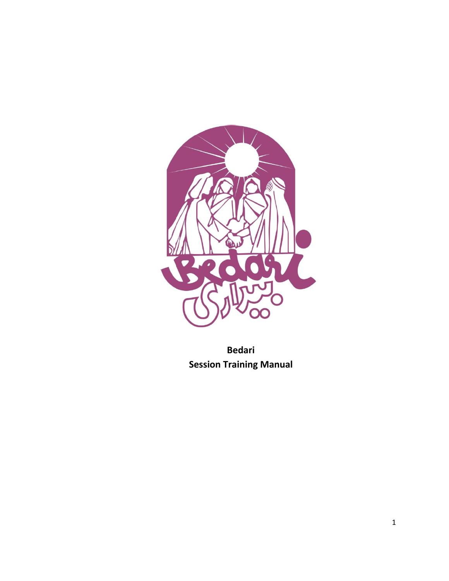

**Bedari Session Training Manual**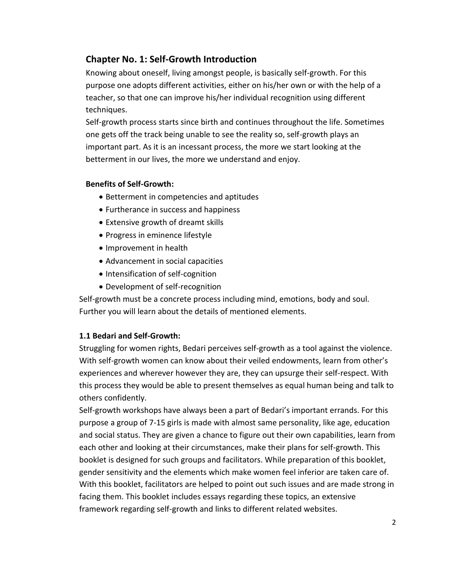# **Chapter No. 1: Self-Growth Introduction**

Knowing about oneself, living amongst people, is basically self-growth. For this purpose one adopts different activities, either on his/her own or with the help of a teacher, so that one can improve his/her individual recognition using different techniques.

Self-growth process starts since birth and continues throughout the life. Sometimes one gets off the track being unable to see the reality so, self-growth plays an important part. As it is an incessant process, the more we start looking at the betterment in our lives, the more we understand and enjoy.

# **Benefits of Self-Growth:**

- Betterment in competencies and aptitudes
- Furtherance in success and happiness
- Extensive growth of dreamt skills
- Progress in eminence lifestyle
- Improvement in health
- Advancement in social capacities
- Intensification of self-cognition
- Development of self-recognition

Self-growth must be a concrete process including mind, emotions, body and soul. Further you will learn about the details of mentioned elements.

# **1.1 Bedari and Self-Growth:**

Struggling for women rights, Bedari perceives self-growth as a tool against the violence. With self-growth women can know about their veiled endowments, learn from other's experiences and wherever however they are, they can upsurge their self-respect. With this process they would be able to present themselves as equal human being and talk to others confidently.

Self-growth workshops have always been a part of Bedari's important errands. For this purpose a group of 7-15 girls is made with almost same personality, like age, education and social status. They are given a chance to figure out their own capabilities, learn from each other and looking at their circumstances, make their plans for self-growth. This booklet is designed for such groups and facilitators. While preparation of this booklet, gender sensitivity and the elements which make women feel inferior are taken care of. With this booklet, facilitators are helped to point out such issues and are made strong in facing them. This booklet includes essays regarding these topics, an extensive framework regarding self-growth and links to different related websites.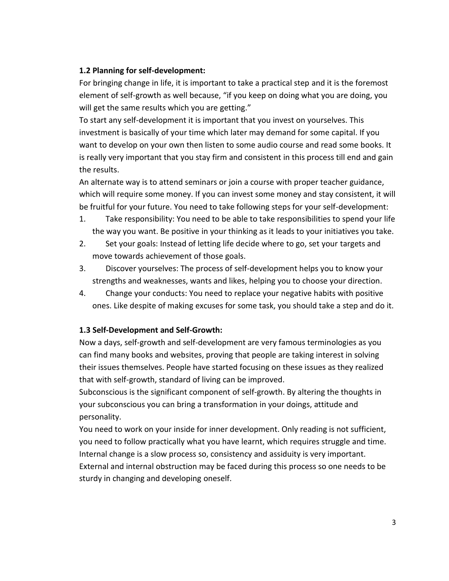# **1.2 Planning for self-development:**

For bringing change in life, it is important to take a practical step and it is the foremost element of self-growth as well because, "if you keep on doing what you are doing, you will get the same results which you are getting."

To start any self-development it is important that you invest on yourselves. This investment is basically of your time which later may demand for some capital. If you want to develop on your own then listen to some audio course and read some books. It is really very important that you stay firm and consistent in this process till end and gain the results.

An alternate way is to attend seminars or join a course with proper teacher guidance, which will require some money. If you can invest some money and stay consistent, it will be fruitful for your future. You need to take following steps for your self-development:

- 1. Take responsibility: You need to be able to take responsibilities to spend your life the way you want. Be positive in your thinking as it leads to your initiatives you take.
- 2. Set your goals: Instead of letting life decide where to go, set your targets and move towards achievement of those goals.
- 3. Discover yourselves: The process of self-development helps you to know your strengths and weaknesses, wants and likes, helping you to choose your direction.
- 4. Change your conducts: You need to replace your negative habits with positive ones. Like despite of making excuses for some task, you should take a step and do it.

# **1.3 Self-Development and Self-Growth:**

Now a days, self-growth and self-development are very famous terminologies as you can find many books and websites, proving that people are taking interest in solving their issues themselves. People have started focusing on these issues as they realized that with self-growth, standard of living can be improved.

Subconscious is the significant component of self-growth. By altering the thoughts in your subconscious you can bring a transformation in your doings, attitude and personality.

You need to work on your inside for inner development. Only reading is not sufficient, you need to follow practically what you have learnt, which requires struggle and time. Internal change is a slow process so, consistency and assiduity is very important. External and internal obstruction may be faced during this process so one needs to be sturdy in changing and developing oneself.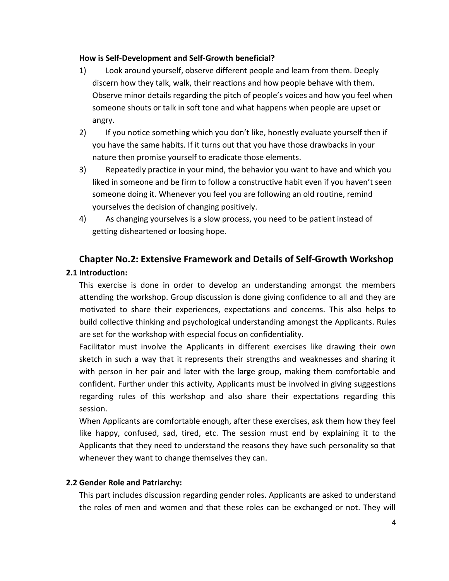### **How is Self-Development and Self-Growth beneficial?**

- 1) Look around yourself, observe different people and learn from them. Deeply discern how they talk, walk, their reactions and how people behave with them. Observe minor details regarding the pitch of people's voices and how you feel when someone shouts or talk in soft tone and what happens when people are upset or angry.
- 2) If you notice something which you don't like, honestly evaluate yourself then if you have the same habits. If it turns out that you have those drawbacks in your nature then promise yourself to eradicate those elements.
- 3) Repeatedly practice in your mind, the behavior you want to have and which you liked in someone and be firm to follow a constructive habit even if you haven't seen someone doing it. Whenever you feel you are following an old routine, remind yourselves the decision of changing positively.
- 4) As changing yourselves is a slow process, you need to be patient instead of getting disheartened or loosing hope.

# **Chapter No.2: Extensive Framework and Details of Self-Growth Workshop 2.1 Introduction:**

This exercise is done in order to develop an understanding amongst the members attending the workshop. Group discussion is done giving confidence to all and they are motivated to share their experiences, expectations and concerns. This also helps to build collective thinking and psychological understanding amongst the Applicants. Rules are set for the workshop with especial focus on confidentiality.

Facilitator must involve the Applicants in different exercises like drawing their own sketch in such a way that it represents their strengths and weaknesses and sharing it with person in her pair and later with the large group, making them comfortable and confident. Further under this activity, Applicants must be involved in giving suggestions regarding rules of this workshop and also share their expectations regarding this session.

When Applicants are comfortable enough, after these exercises, ask them how they feel like happy, confused, sad, tired, etc. The session must end by explaining it to the Applicants that they need to understand the reasons they have such personality so that whenever they want to change themselves they can.

# **2.2 Gender Role and Patriarchy:**

This part includes discussion regarding gender roles. Applicants are asked to understand the roles of men and women and that these roles can be exchanged or not. They will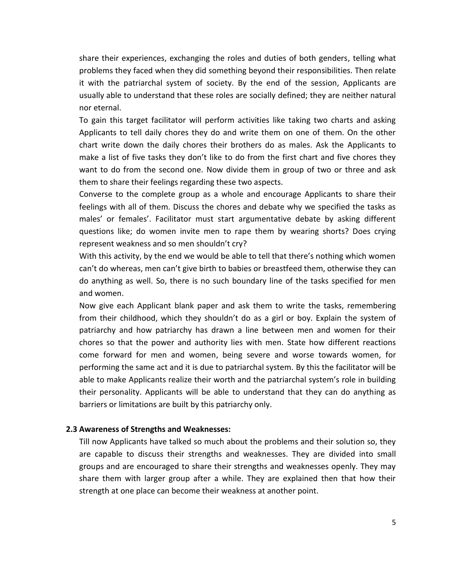share their experiences, exchanging the roles and duties of both genders, telling what problems they faced when they did something beyond their responsibilities. Then relate it with the patriarchal system of society. By the end of the session, Applicants are usually able to understand that these roles are socially defined; they are neither natural nor eternal.

To gain this target facilitator will perform activities like taking two charts and asking Applicants to tell daily chores they do and write them on one of them. On the other chart write down the daily chores their brothers do as males. Ask the Applicants to make a list of five tasks they don't like to do from the first chart and five chores they want to do from the second one. Now divide them in group of two or three and ask them to share their feelings regarding these two aspects.

Converse to the complete group as a whole and encourage Applicants to share their feelings with all of them. Discuss the chores and debate why we specified the tasks as males' or females'. Facilitator must start argumentative debate by asking different questions like; do women invite men to rape them by wearing shorts? Does crying represent weakness and so men shouldn't cry?

With this activity, by the end we would be able to tell that there's nothing which women can't do whereas, men can't give birth to babies or breastfeed them, otherwise they can do anything as well. So, there is no such boundary line of the tasks specified for men and women.

Now give each Applicant blank paper and ask them to write the tasks, remembering from their childhood, which they shouldn't do as a girl or boy. Explain the system of patriarchy and how patriarchy has drawn a line between men and women for their chores so that the power and authority lies with men. State how different reactions come forward for men and women, being severe and worse towards women, for performing the same act and it is due to patriarchal system. By this the facilitator will be able to make Applicants realize their worth and the patriarchal system's role in building their personality. Applicants will be able to understand that they can do anything as barriers or limitations are built by this patriarchy only.

#### **2.3 Awareness of Strengths and Weaknesses:**

Till now Applicants have talked so much about the problems and their solution so, they are capable to discuss their strengths and weaknesses. They are divided into small groups and are encouraged to share their strengths and weaknesses openly. They may share them with larger group after a while. They are explained then that how their strength at one place can become their weakness at another point.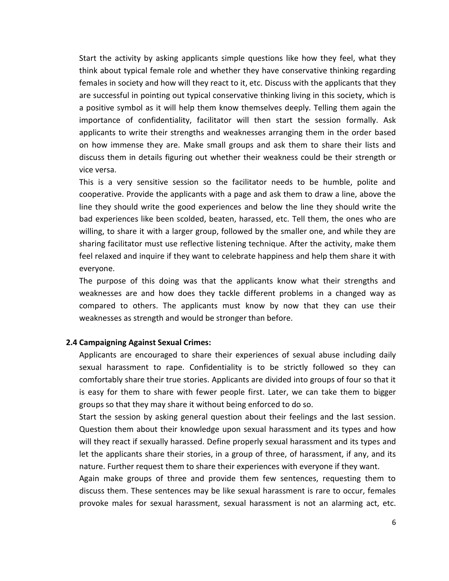Start the activity by asking applicants simple questions like how they feel, what they think about typical female role and whether they have conservative thinking regarding females in society and how will they react to it, etc. Discuss with the applicants that they are successful in pointing out typical conservative thinking living in this society, which is a positive symbol as it will help them know themselves deeply. Telling them again the importance of confidentiality, facilitator will then start the session formally. Ask applicants to write their strengths and weaknesses arranging them in the order based on how immense they are. Make small groups and ask them to share their lists and discuss them in details figuring out whether their weakness could be their strength or vice versa.

This is a very sensitive session so the facilitator needs to be humble, polite and cooperative. Provide the applicants with a page and ask them to draw a line, above the line they should write the good experiences and below the line they should write the bad experiences like been scolded, beaten, harassed, etc. Tell them, the ones who are willing, to share it with a larger group, followed by the smaller one, and while they are sharing facilitator must use reflective listening technique. After the activity, make them feel relaxed and inquire if they want to celebrate happiness and help them share it with everyone.

The purpose of this doing was that the applicants know what their strengths and weaknesses are and how does they tackle different problems in a changed way as compared to others. The applicants must know by now that they can use their weaknesses as strength and would be stronger than before.

#### **2.4 Campaigning Against Sexual Crimes:**

Applicants are encouraged to share their experiences of sexual abuse including daily sexual harassment to rape. Confidentiality is to be strictly followed so they can comfortably share their true stories. Applicants are divided into groups of four so that it is easy for them to share with fewer people first. Later, we can take them to bigger groups so that they may share it without being enforced to do so.

Start the session by asking general question about their feelings and the last session. Question them about their knowledge upon sexual harassment and its types and how will they react if sexually harassed. Define properly sexual harassment and its types and let the applicants share their stories, in a group of three, of harassment, if any, and its nature. Further request them to share their experiences with everyone if they want.

Again make groups of three and provide them few sentences, requesting them to discuss them. These sentences may be like sexual harassment is rare to occur, females provoke males for sexual harassment, sexual harassment is not an alarming act, etc.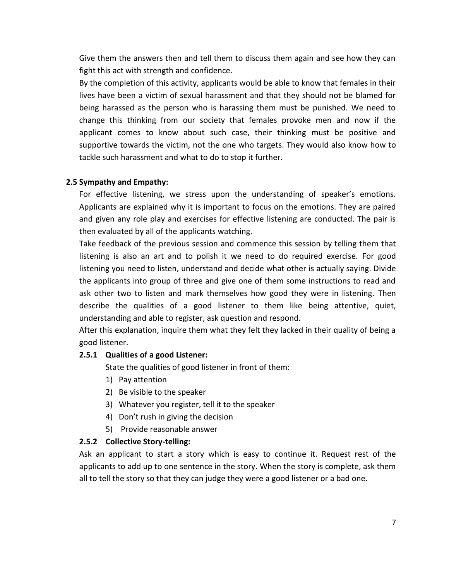Give them the answers then and tell them to discuss them again and see how they can fight this act with strength and confidence.

By the completion of this activity, applicants would be able to know that females in their lives have been a victim of sexual harassment and that they should not be blamed for being harassed as the person who is harassing them must be punished. We need to change this thinking from our society that females provoke men and now if the applicant comes to know about such case, their thinking must be positive and supportive towards the victim, not the one who targets. They would also know how to tackle such harassment and what to do to stop it further.

# **2.5 Sympathy and Empathy:**

For effective listening, we stress upon the understanding of speaker's emotions. Applicants are explained why it is important to focus on the emotions. They are paired and given any role play and exercises for effective listening are conducted. The pair is then evaluated by all of the applicants watching.

Take feedback of the previous session and commence this session by telling them that listening is also an art and to polish it we need to do required exercise. For good listening you need to listen, understand and decide what other is actually saying. Divide the applicants into group of three and give one of them some instructions to read and ask other two to listen and mark themselves how good they were in listening. Then describe the qualities of a good listener to them like being attentive, quiet, understanding and able to register, ask question and respond.

After this explanation, inquire them what they felt they lacked in their quality of being a good listener.

# **2.5.1 Qualities of a good Listener:**

State the qualities of good listener in front of them:

- 1) Pay attention
- 2) Be visible to the speaker
- 3) Whatever you register, tell it to the speaker
- 4) Don't rush in giving the decision
- 5) Provide reasonable answer

# **2.5.2 Collective Story-telling:**

Ask an applicant to start a story which is easy to continue it. Request rest of the applicants to add up to one sentence in the story. When the story is complete, ask them all to tell the story so that they can judge they were a good listener or a bad one.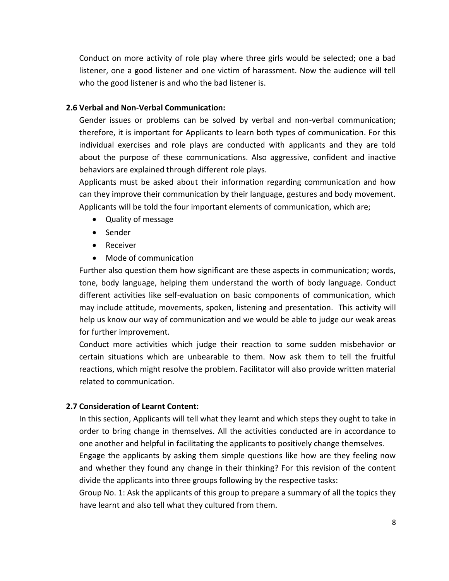Conduct on more activity of role play where three girls would be selected; one a bad listener, one a good listener and one victim of harassment. Now the audience will tell who the good listener is and who the bad listener is.

### **2.6 Verbal and Non-Verbal Communication:**

Gender issues or problems can be solved by verbal and non-verbal communication; therefore, it is important for Applicants to learn both types of communication. For this individual exercises and role plays are conducted with applicants and they are told about the purpose of these communications. Also aggressive, confident and inactive behaviors are explained through different role plays.

Applicants must be asked about their information regarding communication and how can they improve their communication by their language, gestures and body movement. Applicants will be told the four important elements of communication, which are;

- Quality of message
- Sender
- Receiver
- Mode of communication

Further also question them how significant are these aspects in communication; words, tone, body language, helping them understand the worth of body language. Conduct different activities like self-evaluation on basic components of communication, which may include attitude, movements, spoken, listening and presentation. This activity will help us know our way of communication and we would be able to judge our weak areas for further improvement.

Conduct more activities which judge their reaction to some sudden misbehavior or certain situations which are unbearable to them. Now ask them to tell the fruitful reactions, which might resolve the problem. Facilitator will also provide written material related to communication.

# **2.7 Consideration of Learnt Content:**

In this section, Applicants will tell what they learnt and which steps they ought to take in order to bring change in themselves. All the activities conducted are in accordance to one another and helpful in facilitating the applicants to positively change themselves.

Engage the applicants by asking them simple questions like how are they feeling now and whether they found any change in their thinking? For this revision of the content divide the applicants into three groups following by the respective tasks:

Group No. 1: Ask the applicants of this group to prepare a summary of all the topics they have learnt and also tell what they cultured from them.